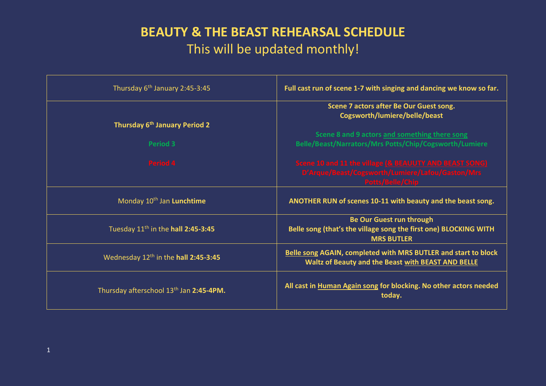## **BEAUTY & THE BEAST REHEARSAL SCHEDULE** This will be updated monthly!

| Thursday 6 <sup>th</sup> January 2:45-3:45          | Full cast run of scene 1-7 with singing and dancing we know so far.                                                                   |
|-----------------------------------------------------|---------------------------------------------------------------------------------------------------------------------------------------|
| Thursday 6 <sup>th</sup> January Period 2           | Scene 7 actors after Be Our Guest song.<br>Cogsworth/lumiere/belle/beast                                                              |
| <b>Period 3</b>                                     | Scene 8 and 9 actors and something there song<br>Belle/Beast/Narrators/Mrs Potts/Chip/Cogsworth/Lumiere                               |
| <b>Period 4</b>                                     | Scene 10 and 11 the village [& BEAUUTY AND BEAST SONG]<br>D'Arque/Beast/Cogsworth/Lumiere/Lafou/Gaston/Mrs<br><b>Potts/Belle/Chip</b> |
| Monday 10 <sup>th</sup> Jan Lunchtime               | ANOTHER RUN of scenes 10-11 with beauty and the beast song.                                                                           |
| Tuesday 11 <sup>th</sup> in the hall 2:45-3:45      | <b>Be Our Guest run through</b><br>Belle song (that's the village song the first one) BLOCKING WITH<br><b>MRS BUTLER</b>              |
| Wednesday 12 <sup>th</sup> in the hall 2:45-3:45    | <b>Belle song AGAIN, completed with MRS BUTLER and start to block</b><br>Waltz of Beauty and the Beast with BEAST AND BELLE           |
| Thursday afterschool 13 <sup>th</sup> Jan 2:45-4PM. | All cast in Human Again song for blocking. No other actors needed<br>today.                                                           |